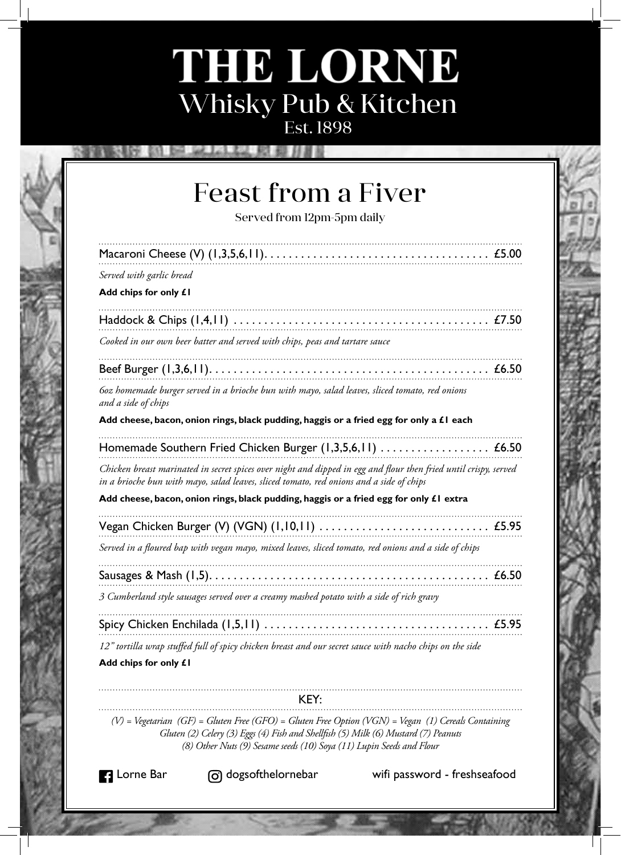## THE LORNE Whisky Pub & Kitchen Est. 1898

**Feast from a Fiver** Served from 12pm-5pm daily Served with garlic bread Add chips for only £1 Cooked in our own beer batter and served with chips, peas and tartare sauce 60z homemade burger served in a brioche bun with mayo, salad leaves, sliced tomato, red onions and a side of chips Add cheese, bacon, onion rings, black pudding, haggis or a fried egg for only a £1 each Homemade Southern Fried Chicken Burger (1,3,5,6,11) .................... £6.50 Chicken breast marinated in secret spices over night and dipped in egg and flour then fried until crispy, served in a brioche bun with mayo, salad leaves, sliced tomato, red onions and a side of chips Add cheese, bacon, onion rings, black pudding, haggis or a fried egg for only £1 extra Served in a floured bap with vegan mayo, mixed leaves, sliced tomato, red onions and a side of chips 3 Cumberland style sausages served over a creamy mashed potato with a side of rich gravy 12" tortilla wrap stuffed full of spicy chicken breast and our secret sauce with nacho chips on the side Add chips for only £1

KEY:

 $(V)$  = Vegetarian (GF) = Gluten Free (GFO) = Gluten Free Option (VGN) = Vegan (1) Cereals Containing Gluten (2) Celery (3) Eggs (4) Fish and Shellfish (5) Milk (6) Mustard (7) Peanuts (8) Other Nuts (9) Sesame seeds (10) Soya (11) Lupin Seeds and Flour

**B** Lorne Bar

രി dogsofthelornebar

wifi password - freshseafood